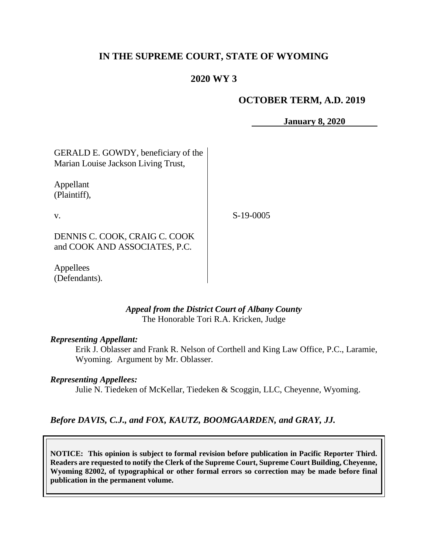## **IN THE SUPREME COURT, STATE OF WYOMING**

### **2020 WY 3**

#### **OCTOBER TERM, A.D. 2019**

**January 8, 2020**

GERALD E. GOWDY, beneficiary of the Marian Louise Jackson Living Trust,

Appellant (Plaintiff),

v.

S-19-0005

DENNIS C. COOK, CRAIG C. COOK and COOK AND ASSOCIATES, P.C.

Appellees (Defendants).

#### *Appeal from the District Court of Albany County* The Honorable Tori R.A. Kricken, Judge

#### *Representing Appellant:*

Erik J. Oblasser and Frank R. Nelson of Corthell and King Law Office, P.C., Laramie, Wyoming. Argument by Mr. Oblasser.

#### *Representing Appellees:*

Julie N. Tiedeken of McKellar, Tiedeken & Scoggin, LLC, Cheyenne, Wyoming.

#### *Before DAVIS, C.J., and FOX, KAUTZ, BOOMGAARDEN, and GRAY, JJ.*

**NOTICE: This opinion is subject to formal revision before publication in Pacific Reporter Third. Readers are requested to notify the Clerk of the Supreme Court, Supreme Court Building, Cheyenne, Wyoming 82002, of typographical or other formal errors so correction may be made before final publication in the permanent volume.**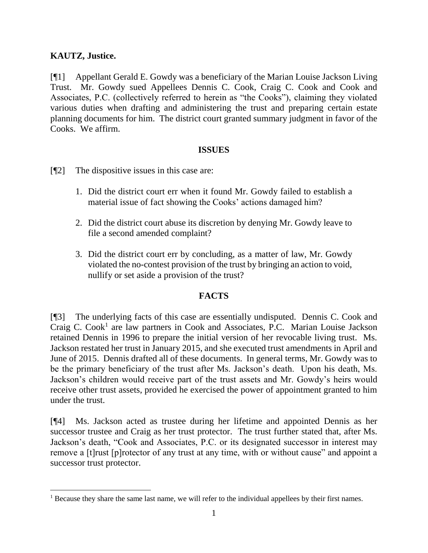## **KAUTZ, Justice.**

[¶1] Appellant Gerald E. Gowdy was a beneficiary of the Marian Louise Jackson Living Trust. Mr. Gowdy sued Appellees Dennis C. Cook, Craig C. Cook and Cook and Associates, P.C. (collectively referred to herein as "the Cooks"), claiming they violated various duties when drafting and administering the trust and preparing certain estate planning documents for him. The district court granted summary judgment in favor of the Cooks. We affirm.

### **ISSUES**

- [¶2] The dispositive issues in this case are:
	- 1. Did the district court err when it found Mr. Gowdy failed to establish a material issue of fact showing the Cooks' actions damaged him?
	- 2. Did the district court abuse its discretion by denying Mr. Gowdy leave to file a second amended complaint?
	- 3. Did the district court err by concluding, as a matter of law, Mr. Gowdy violated the no-contest provision of the trust by bringing an action to void, nullify or set aside a provision of the trust?

## **FACTS**

[¶3] The underlying facts of this case are essentially undisputed. Dennis C. Cook and Craig C. Cook<sup>1</sup> are law partners in Cook and Associates, P.C. Marian Louise Jackson retained Dennis in 1996 to prepare the initial version of her revocable living trust. Ms. Jackson restated her trust in January 2015, and she executed trust amendments in April and June of 2015. Dennis drafted all of these documents. In general terms, Mr. Gowdy was to be the primary beneficiary of the trust after Ms. Jackson's death. Upon his death, Ms. Jackson's children would receive part of the trust assets and Mr. Gowdy's heirs would receive other trust assets, provided he exercised the power of appointment granted to him under the trust.

[¶4] Ms. Jackson acted as trustee during her lifetime and appointed Dennis as her successor trustee and Craig as her trust protector. The trust further stated that, after Ms. Jackson's death, "Cook and Associates, P.C. or its designated successor in interest may remove a [t]rust [p]rotector of any trust at any time, with or without cause" and appoint a successor trust protector.

<sup>&</sup>lt;sup>1</sup> Because they share the same last name, we will refer to the individual appellees by their first names.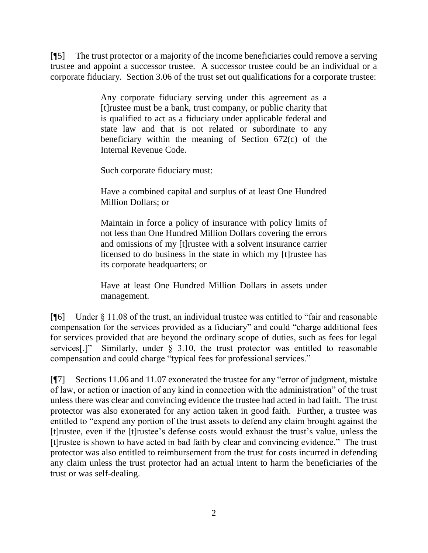[¶5] The trust protector or a majority of the income beneficiaries could remove a serving trustee and appoint a successor trustee. A successor trustee could be an individual or a corporate fiduciary. Section 3.06 of the trust set out qualifications for a corporate trustee:

> Any corporate fiduciary serving under this agreement as a [t]rustee must be a bank, trust company, or public charity that is qualified to act as a fiduciary under applicable federal and state law and that is not related or subordinate to any beneficiary within the meaning of Section 672(c) of the Internal Revenue Code.

Such corporate fiduciary must:

Have a combined capital and surplus of at least One Hundred Million Dollars; or

Maintain in force a policy of insurance with policy limits of not less than One Hundred Million Dollars covering the errors and omissions of my [t]rustee with a solvent insurance carrier licensed to do business in the state in which my [t]rustee has its corporate headquarters; or

Have at least One Hundred Million Dollars in assets under management.

[¶6] Under § 11.08 of the trust, an individual trustee was entitled to "fair and reasonable compensation for the services provided as a fiduciary" and could "charge additional fees for services provided that are beyond the ordinary scope of duties, such as fees for legal services<sup>[1]</sup>" Similarly, under § 3.10, the trust protector was entitled to reasonable compensation and could charge "typical fees for professional services."

[¶7] Sections 11.06 and 11.07 exonerated the trustee for any "error of judgment, mistake of law, or action or inaction of any kind in connection with the administration" of the trust unless there was clear and convincing evidence the trustee had acted in bad faith. The trust protector was also exonerated for any action taken in good faith. Further, a trustee was entitled to "expend any portion of the trust assets to defend any claim brought against the [t]rustee, even if the [t]rustee's defense costs would exhaust the trust's value, unless the [t]rustee is shown to have acted in bad faith by clear and convincing evidence." The trust protector was also entitled to reimbursement from the trust for costs incurred in defending any claim unless the trust protector had an actual intent to harm the beneficiaries of the trust or was self-dealing.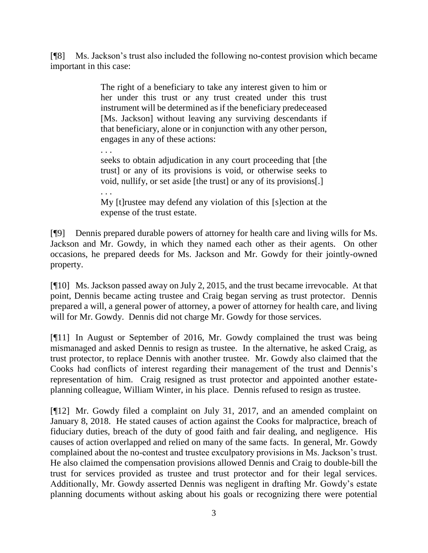[¶8] Ms. Jackson's trust also included the following no-contest provision which became important in this case:

> The right of a beneficiary to take any interest given to him or her under this trust or any trust created under this trust instrument will be determined as if the beneficiary predeceased [Ms. Jackson] without leaving any surviving descendants if that beneficiary, alone or in conjunction with any other person, engages in any of these actions:

> seeks to obtain adjudication in any court proceeding that [the trust] or any of its provisions is void, or otherwise seeks to void, nullify, or set aside [the trust] or any of its provisions[.]

. . .

. . . My [t]rustee may defend any violation of this [s]ection at the expense of the trust estate.

[¶9] Dennis prepared durable powers of attorney for health care and living wills for Ms. Jackson and Mr. Gowdy, in which they named each other as their agents. On other occasions, he prepared deeds for Ms. Jackson and Mr. Gowdy for their jointly-owned property.

[¶10] Ms. Jackson passed away on July 2, 2015, and the trust became irrevocable. At that point, Dennis became acting trustee and Craig began serving as trust protector. Dennis prepared a will, a general power of attorney, a power of attorney for health care, and living will for Mr. Gowdy. Dennis did not charge Mr. Gowdy for those services.

[¶11] In August or September of 2016, Mr. Gowdy complained the trust was being mismanaged and asked Dennis to resign as trustee. In the alternative, he asked Craig, as trust protector, to replace Dennis with another trustee. Mr. Gowdy also claimed that the Cooks had conflicts of interest regarding their management of the trust and Dennis's representation of him. Craig resigned as trust protector and appointed another estateplanning colleague, William Winter, in his place. Dennis refused to resign as trustee.

[¶12] Mr. Gowdy filed a complaint on July 31, 2017, and an amended complaint on January 8, 2018. He stated causes of action against the Cooks for malpractice, breach of fiduciary duties, breach of the duty of good faith and fair dealing, and negligence. His causes of action overlapped and relied on many of the same facts. In general, Mr. Gowdy complained about the no-contest and trustee exculpatory provisions in Ms. Jackson's trust. He also claimed the compensation provisions allowed Dennis and Craig to double-bill the trust for services provided as trustee and trust protector and for their legal services. Additionally, Mr. Gowdy asserted Dennis was negligent in drafting Mr. Gowdy's estate planning documents without asking about his goals or recognizing there were potential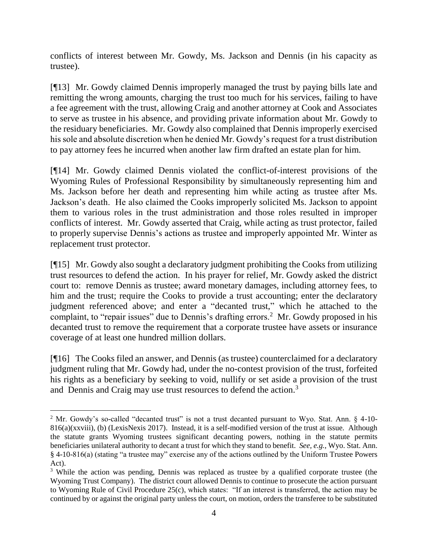conflicts of interest between Mr. Gowdy, Ms. Jackson and Dennis (in his capacity as trustee).

[¶13] Mr. Gowdy claimed Dennis improperly managed the trust by paying bills late and remitting the wrong amounts, charging the trust too much for his services, failing to have a fee agreement with the trust, allowing Craig and another attorney at Cook and Associates to serve as trustee in his absence, and providing private information about Mr. Gowdy to the residuary beneficiaries. Mr. Gowdy also complained that Dennis improperly exercised his sole and absolute discretion when he denied Mr. Gowdy's request for a trust distribution to pay attorney fees he incurred when another law firm drafted an estate plan for him.

[¶14] Mr. Gowdy claimed Dennis violated the conflict-of-interest provisions of the Wyoming Rules of Professional Responsibility by simultaneously representing him and Ms. Jackson before her death and representing him while acting as trustee after Ms. Jackson's death. He also claimed the Cooks improperly solicited Ms. Jackson to appoint them to various roles in the trust administration and those roles resulted in improper conflicts of interest. Mr. Gowdy asserted that Craig, while acting as trust protector, failed to properly supervise Dennis's actions as trustee and improperly appointed Mr. Winter as replacement trust protector.

[¶15] Mr. Gowdy also sought a declaratory judgment prohibiting the Cooks from utilizing trust resources to defend the action. In his prayer for relief, Mr. Gowdy asked the district court to: remove Dennis as trustee; award monetary damages, including attorney fees, to him and the trust; require the Cooks to provide a trust accounting; enter the declaratory judgment referenced above; and enter a "decanted trust," which he attached to the complaint, to "repair issues" due to Dennis's drafting errors.<sup>2</sup> Mr. Gowdy proposed in his decanted trust to remove the requirement that a corporate trustee have assets or insurance coverage of at least one hundred million dollars.

[¶16] The Cooks filed an answer, and Dennis (as trustee) counterclaimed for a declaratory judgment ruling that Mr. Gowdy had, under the no-contest provision of the trust, forfeited his rights as a beneficiary by seeking to void, nullify or set aside a provision of the trust and Dennis and Craig may use trust resources to defend the action.<sup>3</sup>

 $\overline{a}$ 

<sup>2</sup> Mr. Gowdy's so-called "decanted trust" is not a trust decanted pursuant to Wyo. Stat. Ann. § 4-10- 816(a)(xxviii), (b) (LexisNexis 2017). Instead, it is a self-modified version of the trust at issue. Although the statute grants Wyoming trustees significant decanting powers, nothing in the statute permits beneficiaries unilateral authority to decant a trust for which they stand to benefit. *See, e.g.*, Wyo. Stat. Ann. § 4-10-816(a) (stating "a trustee may" exercise any of the actions outlined by the Uniform Trustee Powers Act).

<sup>&</sup>lt;sup>3</sup> While the action was pending, Dennis was replaced as trustee by a qualified corporate trustee (the Wyoming Trust Company). The district court allowed Dennis to continue to prosecute the action pursuant to Wyoming Rule of Civil Procedure 25(c), which states: "If an interest is transferred, the action may be continued by or against the original party unless the court, on motion, orders the transferee to be substituted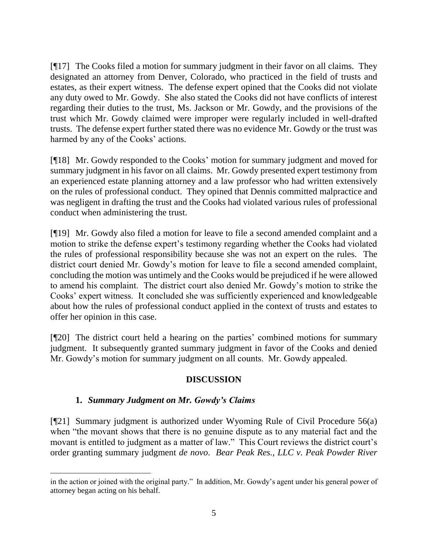[¶17] The Cooks filed a motion for summary judgment in their favor on all claims. They designated an attorney from Denver, Colorado, who practiced in the field of trusts and estates, as their expert witness. The defense expert opined that the Cooks did not violate any duty owed to Mr. Gowdy. She also stated the Cooks did not have conflicts of interest regarding their duties to the trust, Ms. Jackson or Mr. Gowdy, and the provisions of the trust which Mr. Gowdy claimed were improper were regularly included in well-drafted trusts. The defense expert further stated there was no evidence Mr. Gowdy or the trust was harmed by any of the Cooks' actions.

[¶18] Mr. Gowdy responded to the Cooks' motion for summary judgment and moved for summary judgment in his favor on all claims. Mr. Gowdy presented expert testimony from an experienced estate planning attorney and a law professor who had written extensively on the rules of professional conduct. They opined that Dennis committed malpractice and was negligent in drafting the trust and the Cooks had violated various rules of professional conduct when administering the trust.

[¶19] Mr. Gowdy also filed a motion for leave to file a second amended complaint and a motion to strike the defense expert's testimony regarding whether the Cooks had violated the rules of professional responsibility because she was not an expert on the rules. The district court denied Mr. Gowdy's motion for leave to file a second amended complaint, concluding the motion was untimely and the Cooks would be prejudiced if he were allowed to amend his complaint. The district court also denied Mr. Gowdy's motion to strike the Cooks' expert witness. It concluded she was sufficiently experienced and knowledgeable about how the rules of professional conduct applied in the context of trusts and estates to offer her opinion in this case.

[¶20] The district court held a hearing on the parties' combined motions for summary judgment. It subsequently granted summary judgment in favor of the Cooks and denied Mr. Gowdy's motion for summary judgment on all counts. Mr. Gowdy appealed.

## **DISCUSSION**

## **1.** *Summary Judgment on Mr. Gowdy's Claims*

 $\overline{a}$ 

[¶21] Summary judgment is authorized under Wyoming Rule of Civil Procedure 56(a) when "the movant shows that there is no genuine dispute as to any material fact and the movant is entitled to judgment as a matter of law." This Court reviews the district court's order granting summary judgment *de novo*. *[Bear Peak Res., LLC v. Peak Powder River](http://www.westlaw.com/Link/Document/FullText?findType=Y&serNum=2042878668&pubNum=0004645&originatingDoc=I4aa46c001c4911e885eba619ffcfa2b1&refType=RP&fi=co_pp_sp_4645_1040&originationContext=document&vr=3.0&rs=cblt1.0&transitionType=DocumentItem&contextData=(sc.Keycite)#co_pp_sp_4645_1040)* 

in the action or joined with the original party." In addition, Mr. Gowdy's agent under his general power of attorney began acting on his behalf.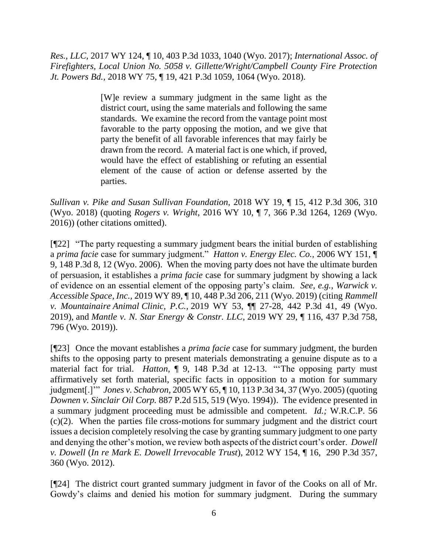*Res., LLC,* [2017 WY 124, ¶ 10, 403 P.3d 1033, 1040 \(Wyo. 2017\);](http://www.westlaw.com/Link/Document/FullText?findType=Y&serNum=2042878668&pubNum=0004645&originatingDoc=I4aa46c001c4911e885eba619ffcfa2b1&refType=RP&fi=co_pp_sp_4645_1040&originationContext=document&vr=3.0&rs=cblt1.0&transitionType=DocumentItem&contextData=(sc.Keycite)#co_pp_sp_4645_1040) *International Assoc. of Firefighters, Local Union No. 5058 v. Gillette/Wright/Campbell County Fire Protection Jt. Powers Bd.,* 2018 WY 75, ¶ 19, 421 P.3d 1059, 1064 (Wyo. 2018).

> [W]e review a summary judgment in the same light as the district court, using the same materials and following the same standards. We examine the record from the vantage point most favorable to the party opposing the motion, and we give that party the benefit of all favorable inferences that may fairly be drawn from the record. A material fact is one which, if proved, would have the effect of establishing or refuting an essential element of the cause of action or defense asserted by the parties.

*Sullivan v. Pike and Susan Sullivan Foundation,* 2018 WY 19, ¶ 15, 412 P.3d 306, 310 (Wyo. 2018) (quoting *Rogers v. Wright*[, 2016 WY 10, ¶ 7, 366 P.3d 1264, 1269 \(Wyo.](http://www.westlaw.com/Link/Document/FullText?findType=Y&serNum=2038150569&pubNum=0004645&originatingDoc=I4aa46c001c4911e885eba619ffcfa2b1&refType=RP&fi=co_pp_sp_4645_1269&originationContext=document&vr=3.0&rs=cblt1.0&transitionType=DocumentItem&contextData=(sc.Keycite)#co_pp_sp_4645_1269)  [2016\)\)](http://www.westlaw.com/Link/Document/FullText?findType=Y&serNum=2038150569&pubNum=0004645&originatingDoc=I4aa46c001c4911e885eba619ffcfa2b1&refType=RP&fi=co_pp_sp_4645_1269&originationContext=document&vr=3.0&rs=cblt1.0&transitionType=DocumentItem&contextData=(sc.Keycite)#co_pp_sp_4645_1269) (other citations omitted).

[¶22] "The party requesting a summary judgment bears the initial burden of establishing a *prima facie* case for summary judgment." *Hatton v. Energy Elec. Co.,* 2006 WY 151, ¶ 9, 148 P.3d 8, 12 (Wyo. 2006). When the moving party does not have the ultimate burden of persuasion, it establishes a *prima facie* case for summary judgment by showing a lack of evidence on an essential element of the opposing party's claim. *See, e.g., Warwick v. Accessible Space, Inc.,* 2019 WY 89, ¶ 10, 448 P.3d 206, 211 (Wyo. 2019) (citing *[Rammell](https://1.next.westlaw.com/Link/Document/FullText?findType=Y&serNum=2048318263&pubNum=0004645&originatingDoc=I0572a740cea011e9a1eadf28d23ada74&refType=RP&fi=co_pp_sp_4645_49&originationContext=document&transitionType=DocumentItem&contextData=(sc.DocLink)#co_pp_sp_4645_49)  v. Mountainaire Animal Clinic, P.C.,* [2019 WY 53, ¶¶ 27-28, 442 P.3d 41, 49 \(Wyo.](https://1.next.westlaw.com/Link/Document/FullText?findType=Y&serNum=2048318263&pubNum=0004645&originatingDoc=I0572a740cea011e9a1eadf28d23ada74&refType=RP&fi=co_pp_sp_4645_49&originationContext=document&transitionType=DocumentItem&contextData=(sc.DocLink)#co_pp_sp_4645_49)  [2019\),](https://1.next.westlaw.com/Link/Document/FullText?findType=Y&serNum=2048318263&pubNum=0004645&originatingDoc=I0572a740cea011e9a1eadf28d23ada74&refType=RP&fi=co_pp_sp_4645_49&originationContext=document&transitionType=DocumentItem&contextData=(sc.DocLink)#co_pp_sp_4645_49) and *[Mantle v. N. Star Energy & Constr. LLC,](https://1.next.westlaw.com/Link/Document/FullText?findType=Y&serNum=2047737570&pubNum=0004645&originatingDoc=I0572a740cea011e9a1eadf28d23ada74&refType=RP&fi=co_pp_sp_4645_796&originationContext=document&transitionType=DocumentItem&contextData=(sc.DocLink)#co_pp_sp_4645_796)* 2019 WY 29, ¶ 116, 437 P.3d 758, [796 \(Wyo. 2019\)\)](https://1.next.westlaw.com/Link/Document/FullText?findType=Y&serNum=2047737570&pubNum=0004645&originatingDoc=I0572a740cea011e9a1eadf28d23ada74&refType=RP&fi=co_pp_sp_4645_796&originationContext=document&transitionType=DocumentItem&contextData=(sc.DocLink)#co_pp_sp_4645_796).

[¶23] Once the movant establishes a *prima facie* case for summary judgment, the burden shifts to the opposing party to present materials demonstrating a genuine dispute as to a material fact for trial. *Hatton*,  $\parallel$  9, 148 P.3d at 12-13. "The opposing party must affirmatively set forth material, specific facts in opposition to a motion for summary judgment[.]'" *Jones v. Schabron,* [2005 WY 65, ¶ 10, 113 P.3d 34, 37 \(Wyo. 2005\)](http://www.westlaw.com/Link/Document/FullText?findType=Y&serNum=2006759096&pubNum=0004645&originatingDoc=I60635c7d8c4811dba10be1078cee05f1&refType=RP&fi=co_pp_sp_4645_37&originationContext=document&vr=3.0&rs=cblt1.0&transitionType=DocumentItem&contextData=(sc.Search)#co_pp_sp_4645_37) (quoting *Downen v. Sinclair Oil Corp.* 887 P.2d 515, 519 (Wyo. 1994)). The evidence presented in a summary judgment proceeding must be admissible and competent. *Id.;* W.R.C.P. 56 (c)(2). When the parties file cross-motions for summary judgment and the district court issues a decision completely resolving the case by granting summary judgment to one party and denying the other's motion, we review both aspects of the district court's order. *Dowell v. Dowell* (*In re Mark E. Dowell Irrevocable Trust*)*,* 2012 WY 154, ¶ 16, 290 P.3d 357, 360 (Wyo. 2012).

[¶24] The district court granted summary judgment in favor of the Cooks on all of Mr. Gowdy's claims and denied his motion for summary judgment. During the summary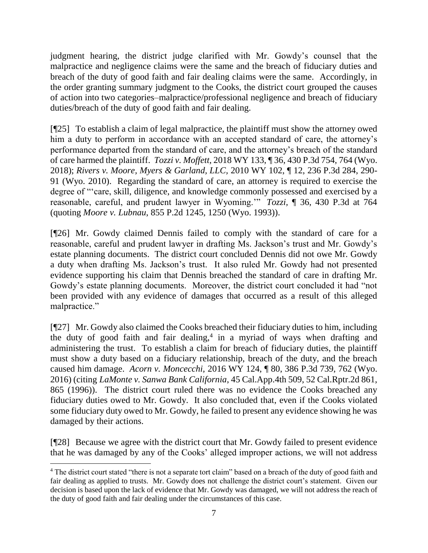judgment hearing, the district judge clarified with Mr. Gowdy's counsel that the malpractice and negligence claims were the same and the breach of fiduciary duties and breach of the duty of good faith and fair dealing claims were the same. Accordingly, in the order granting summary judgment to the Cooks, the district court grouped the causes of action into two categories–malpractice/professional negligence and breach of fiduciary duties/breach of the duty of good faith and fair dealing.

[¶25] To establish a claim of legal malpractice, the plaintiff must show the attorney owed him a duty to perform in accordance with an accepted standard of care, the attorney's performance departed from the standard of care, and the attorney's breach of the standard of care harmed the plaintiff. *Tozzi v. Moffett,* 2018 WY 133, ¶ 36, 430 P.3d 754, 764 (Wyo. 2018); *Rivers v. Moore, Myers & Garland, LLC,* 2010 WY 102, ¶ 12, 236 P.3d 284, 290- 91 (Wyo. 2010). Regarding the standard of care, an attorney is required to exercise the degree of "'care, skill, diligence, and knowledge commonly possessed and exercised by a reasonable, careful, and prudent lawyer in Wyoming.'" *Tozzi,* ¶ 36, 430 P.3d at 764 (quoting *Moore v. Lubnau*[, 855 P.2d 1245, 1250 \(Wyo. 1993\)\)](https://1.next.westlaw.com/Link/Document/FullText?findType=Y&serNum=1993142954&pubNum=0000661&originatingDoc=I6f460bb0f76111e8a99cca37ea0f7dc8&refType=RP&fi=co_pp_sp_661_1248&originationContext=document&transitionType=DocumentItem&contextData=(sc.Search)#co_pp_sp_661_1248).

[¶26] Mr. Gowdy claimed Dennis failed to comply with the standard of care for a reasonable, careful and prudent lawyer in drafting Ms. Jackson's trust and Mr. Gowdy's estate planning documents. The district court concluded Dennis did not owe Mr. Gowdy a duty when drafting Ms. Jackson's trust. It also ruled Mr. Gowdy had not presented evidence supporting his claim that Dennis breached the standard of care in drafting Mr. Gowdy's estate planning documents. Moreover, the district court concluded it had "not been provided with any evidence of damages that occurred as a result of this alleged malpractice."

[¶27] Mr. Gowdy also claimed the Cooks breached their fiduciary duties to him, including the duty of good faith and fair dealing,<sup>4</sup> in a myriad of ways when drafting and administering the trust. To establish a claim for breach of fiduciary duties, the plaintiff must show a duty based on a fiduciary relationship, breach of the duty, and the breach caused him damage. *Acorn v. Moncecchi,* 2016 WY 124, ¶ 80, 386 P.3d 739, 762 (Wyo. 2016) (citing *LaMonte v. Sanwa Bank California*[, 45 Cal.App.4th 509, 52 Cal.Rptr.2d 861,](https://1.next.westlaw.com/Link/Document/FullText?findType=Y&serNum=1996115892&pubNum=0003484&originatingDoc=I36ad4590c8e511e6972aa83e6c16e5f7&refType=RP&fi=co_pp_sp_3484_865&originationContext=document&transitionType=DocumentItem&contextData=(sc.UserEnteredCitation)#co_pp_sp_3484_865)  [865 \(1996\)\)](https://1.next.westlaw.com/Link/Document/FullText?findType=Y&serNum=1996115892&pubNum=0003484&originatingDoc=I36ad4590c8e511e6972aa83e6c16e5f7&refType=RP&fi=co_pp_sp_3484_865&originationContext=document&transitionType=DocumentItem&contextData=(sc.UserEnteredCitation)#co_pp_sp_3484_865).The district court ruled there was no evidence the Cooks breached any fiduciary duties owed to Mr. Gowdy. It also concluded that, even if the Cooks violated some fiduciary duty owed to Mr. Gowdy, he failed to present any evidence showing he was damaged by their actions.

[¶28] Because we agree with the district court that Mr. Gowdy failed to present evidence that he was damaged by any of the Cooks' alleged improper actions, we will not address

<sup>4</sup> The district court stated "there is not a separate tort claim" based on a breach of the duty of good faith and fair dealing as applied to trusts. Mr. Gowdy does not challenge the district court's statement. Given our decision is based upon the lack of evidence that Mr. Gowdy was damaged, we will not address the reach of the duty of good faith and fair dealing under the circumstances of this case.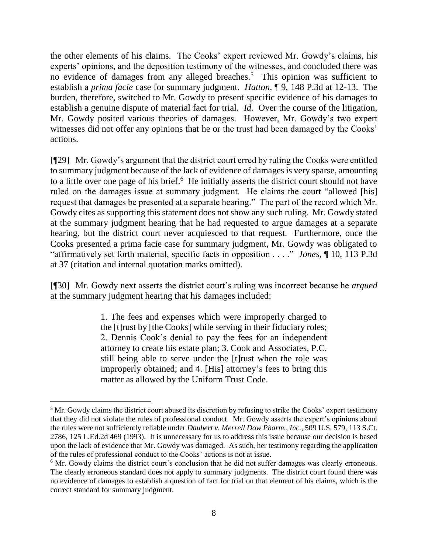the other elements of his claims. The Cooks' expert reviewed Mr. Gowdy's claims, his experts' opinions, and the deposition testimony of the witnesses, and concluded there was no evidence of damages from any alleged breaches.<sup>5</sup> This opinion was sufficient to establish a *prima facie* case for summary judgment. *Hatton,* ¶ 9, 148 P.3d at 12-13. The burden, therefore, switched to Mr. Gowdy to present specific evidence of his damages to establish a genuine dispute of material fact for trial. *Id.* Over the course of the litigation, Mr. Gowdy posited various theories of damages. However, Mr. Gowdy's two expert witnesses did not offer any opinions that he or the trust had been damaged by the Cooks' actions.

[¶29] Mr. Gowdy's argument that the district court erred by ruling the Cooks were entitled to summary judgment because of the lack of evidence of damages is very sparse, amounting to a little over one page of his brief.<sup>6</sup> He initially asserts the district court should not have ruled on the damages issue at summary judgment. He claims the court "allowed [his] request that damages be presented at a separate hearing." The part of the record which Mr. Gowdy cites as supporting this statement does not show any such ruling. Mr. Gowdy stated at the summary judgment hearing that he had requested to argue damages at a separate hearing, but the district court never acquiesced to that request. Furthermore, once the Cooks presented a prima facie case for summary judgment, Mr. Gowdy was obligated to "affirmatively set forth material, specific facts in opposition . . . ." *Jones,* [¶ 10, 113 P.3d](http://www.westlaw.com/Link/Document/FullText?findType=Y&serNum=2006759096&pubNum=0004645&originatingDoc=I60635c7d8c4811dba10be1078cee05f1&refType=RP&fi=co_pp_sp_4645_37&originationContext=document&vr=3.0&rs=cblt1.0&transitionType=DocumentItem&contextData=(sc.Search)#co_pp_sp_4645_37)  [at 37](http://www.westlaw.com/Link/Document/FullText?findType=Y&serNum=2006759096&pubNum=0004645&originatingDoc=I60635c7d8c4811dba10be1078cee05f1&refType=RP&fi=co_pp_sp_4645_37&originationContext=document&vr=3.0&rs=cblt1.0&transitionType=DocumentItem&contextData=(sc.Search)#co_pp_sp_4645_37) (citation and internal quotation marks omitted).

[¶30] Mr. Gowdy next asserts the district court's ruling was incorrect because he *argued* at the summary judgment hearing that his damages included:

> 1. The fees and expenses which were improperly charged to the [t]rust by [the Cooks] while serving in their fiduciary roles; 2. Dennis Cook's denial to pay the fees for an independent attorney to create his estate plan; 3. Cook and Associates, P.C. still being able to serve under the [t]rust when the role was improperly obtained; and 4. [His] attorney's fees to bring this matter as allowed by the Uniform Trust Code.

<sup>&</sup>lt;sup>5</sup> Mr. Gowdy claims the district court abused its discretion by refusing to strike the Cooks' expert testimony that they did not violate the rules of professional conduct. Mr. Gowdy asserts the expert's opinions about the rules were not sufficiently reliable under *Daubert v. Merrell Dow Pharm., Inc.,* 509 U.S. 579, 113 S.Ct. 2786, 125 L.Ed.2d 469 (1993). It is unnecessary for us to address this issue because our decision is based upon the lack of evidence that Mr. Gowdy was damaged. As such, her testimony regarding the application of the rules of professional conduct to the Cooks' actions is not at issue.

<sup>&</sup>lt;sup>6</sup> Mr. Gowdy claims the district court's conclusion that he did not suffer damages was clearly erroneous. The clearly erroneous standard does not apply to summary judgments. The district court found there was no evidence of damages to establish a question of fact for trial on that element of his claims, which is the correct standard for summary judgment.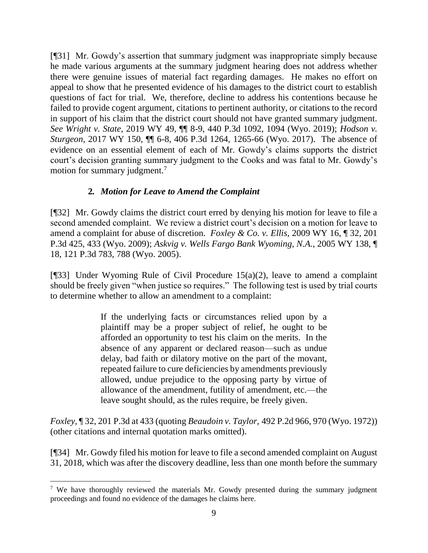[¶31] Mr. Gowdy's assertion that summary judgment was inappropriate simply because he made various arguments at the summary judgment hearing does not address whether there were genuine issues of material fact regarding damages. He makes no effort on appeal to show that he presented evidence of his damages to the district court to establish questions of fact for trial. We, therefore, decline to address his contentions because he failed to provide cogent argument, citations to pertinent authority, or citations to the record in support of his claim that the district court should not have granted summary judgment. *See Wright v. State,* 2019 WY 49, ¶¶ 8-9, 440 P.3d 1092, 1094 (Wyo. 2019); *Hodson v. Sturgeon,* 2017 WY 150, ¶¶ 6-8, 406 P.3d 1264, 1265-66 (Wyo. 2017). The absence of evidence on an essential element of each of Mr. Gowdy's claims supports the district court's decision granting summary judgment to the Cooks and was fatal to Mr. Gowdy's motion for summary judgment.<sup>7</sup>

# **2***. Motion for Leave to Amend the Complaint*

[¶32] Mr. Gowdy claims the district court erred by denying his motion for leave to file a second amended complaint. We review a district court's decision on a motion for leave to amend a complaint for abuse of discretion. *Foxley & Co. v. Ellis,* 2009 WY 16, ¶ 32, 201 P.3d 425, 433 (Wyo. 2009); *[Askvig v. Wells Fargo Bank Wyoming, N.A.](https://1.next.westlaw.com/Link/Document/FullText?findType=Y&serNum=2007563637&pubNum=0004645&originatingDoc=Iff4c6bc9f80b11ddbc7bf97f340af743&refType=RP&fi=co_pp_sp_4645_788&originationContext=document&transitionType=DocumentItem&contextData=(sc.Search)#co_pp_sp_4645_788)*, 2005 WY 138, ¶ [18, 121 P.3d 783, 788 \(Wyo. 2005\).](https://1.next.westlaw.com/Link/Document/FullText?findType=Y&serNum=2007563637&pubNum=0004645&originatingDoc=Iff4c6bc9f80b11ddbc7bf97f340af743&refType=RP&fi=co_pp_sp_4645_788&originationContext=document&transitionType=DocumentItem&contextData=(sc.Search)#co_pp_sp_4645_788)

[¶33] Under Wyoming Rule of Civil Procedure  $15(a)(2)$ , leave to amend a complaint should be freely given "when justice so requires." The following test is used by trial courts to determine whether to allow an amendment to a complaint:

> If the underlying facts or circumstances relied upon by a plaintiff may be a proper subject of relief, he ought to be afforded an opportunity to test his claim on the merits. In the absence of any apparent or declared reason—such as undue delay, bad faith or dilatory motive on the part of the movant, repeated failure to cure deficiencies by amendments previously allowed, undue prejudice to the opposing party by virtue of allowance of the amendment, futility of amendment, etc.—the leave sought should, as the rules require, be freely given.

*Foxley,* ¶ 32, 201 P.3d at 433 (quoting *Beaudoin v. Taylor,* [492 P.2d 966, 970 \(Wyo. 1972\)\)](https://1.next.westlaw.com/Link/Document/FullText?findType=Y&serNum=1972122599&pubNum=0000661&originatingDoc=Iff4c6bc9f80b11ddbc7bf97f340af743&refType=RP&fi=co_pp_sp_661_970&originationContext=document&transitionType=DocumentItem&contextData=(sc.Search)#co_pp_sp_661_970) (other citations and internal quotation marks omitted).

[¶34] Mr. Gowdy filed his motion for leave to file a second amended complaint on August 31, 2018, which was after the discovery deadline, less than one month before the summary

l

<sup>&</sup>lt;sup>7</sup> We have thoroughly reviewed the materials Mr. Gowdy presented during the summary judgment proceedings and found no evidence of the damages he claims here.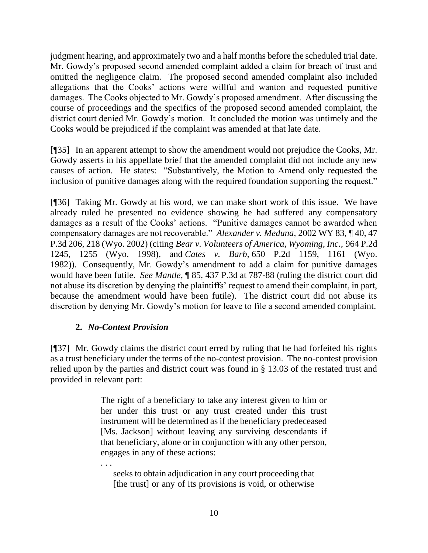judgment hearing, and approximately two and a half months before the scheduled trial date. Mr. Gowdy's proposed second amended complaint added a claim for breach of trust and omitted the negligence claim. The proposed second amended complaint also included allegations that the Cooks' actions were willful and wanton and requested punitive damages. The Cooks objected to Mr. Gowdy's proposed amendment. After discussing the course of proceedings and the specifics of the proposed second amended complaint, the district court denied Mr. Gowdy's motion. It concluded the motion was untimely and the Cooks would be prejudiced if the complaint was amended at that late date.

[¶35] In an apparent attempt to show the amendment would not prejudice the Cooks, Mr. Gowdy asserts in his appellate brief that the amended complaint did not include any new causes of action. He states: "Substantively, the Motion to Amend only requested the inclusion of punitive damages along with the required foundation supporting the request."

[¶36] Taking Mr. Gowdy at his word, we can make short work of this issue. We have already ruled he presented no evidence showing he had suffered any compensatory damages as a result of the Cooks' actions. "Punitive damages cannot be awarded when compensatory damages are not recoverable." *Alexander v. Meduna,* 2002 WY 83, ¶ 40, 47 P.3d 206, 218 (Wyo. 2002) (citing *[Bear v. Volunteers of America, Wyoming, Inc.,](https://1.next.westlaw.com/Link/Document/FullText?findType=Y&serNum=1998189870&pubNum=0000661&originatingDoc=Ibbebb5aaf53c11d9b386b232635db992&refType=RP&fi=co_pp_sp_661_1255&originationContext=document&transitionType=DocumentItem&contextData=(sc.History*oc.Search)#co_pp_sp_661_1255)* 964 P.2d [1245, 1255 \(Wyo. 1998\),](https://1.next.westlaw.com/Link/Document/FullText?findType=Y&serNum=1998189870&pubNum=0000661&originatingDoc=Ibbebb5aaf53c11d9b386b232635db992&refType=RP&fi=co_pp_sp_661_1255&originationContext=document&transitionType=DocumentItem&contextData=(sc.History*oc.Search)#co_pp_sp_661_1255) and *Cates v. Barb,* [650 P.2d 1159, 1161 \(Wyo.](https://1.next.westlaw.com/Link/Document/FullText?findType=Y&serNum=1982139844&pubNum=0000661&originatingDoc=Ibbebb5aaf53c11d9b386b232635db992&refType=RP&fi=co_pp_sp_661_1161&originationContext=document&transitionType=DocumentItem&contextData=(sc.History*oc.Search)#co_pp_sp_661_1161)  [1982\)\)](https://1.next.westlaw.com/Link/Document/FullText?findType=Y&serNum=1982139844&pubNum=0000661&originatingDoc=Ibbebb5aaf53c11d9b386b232635db992&refType=RP&fi=co_pp_sp_661_1161&originationContext=document&transitionType=DocumentItem&contextData=(sc.History*oc.Search)#co_pp_sp_661_1161). Consequently, Mr. Gowdy's amendment to add a claim for punitive damages would have been futile. *See Mantle*, ¶ 85, 437 P.3d at 787-88 (ruling the district court did not abuse its discretion by denying the plaintiffs' request to amend their complaint, in part, because the amendment would have been futile). The district court did not abuse its discretion by denying Mr. Gowdy's motion for leave to file a second amended complaint.

# **2.** *No-Contest Provision*

[¶37] Mr. Gowdy claims the district court erred by ruling that he had forfeited his rights as a trust beneficiary under the terms of the no-contest provision. The no-contest provision relied upon by the parties and district court was found in § 13.03 of the restated trust and provided in relevant part:

> The right of a beneficiary to take any interest given to him or her under this trust or any trust created under this trust instrument will be determined as if the beneficiary predeceased [Ms. Jackson] without leaving any surviving descendants if that beneficiary, alone or in conjunction with any other person, engages in any of these actions:

. . . seeks to obtain adjudication in any court proceeding that [the trust] or any of its provisions is void, or otherwise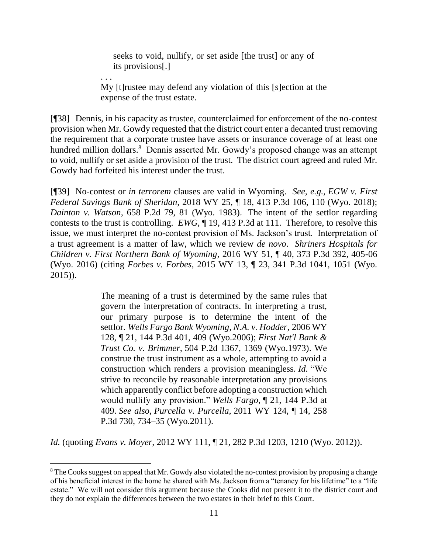seeks to void, nullify, or set aside [the trust] or any of its provisions[.]

My [t]rustee may defend any violation of this [s]ection at the expense of the trust estate.

. . .

[¶38] Dennis, in his capacity as trustee, counterclaimed for enforcement of the no-contest provision when Mr. Gowdy requested that the district court enter a decanted trust removing the requirement that a corporate trustee have assets or insurance coverage of at least one hundred million dollars.<sup>8</sup> Dennis asserted Mr. Gowdy's proposed change was an attempt to void, nullify or set aside a provision of the trust. The district court agreed and ruled Mr. Gowdy had forfeited his interest under the trust.

[¶39] No-contest or *in terrorem* clauses are valid in Wyoming. *See, e.g., EGW v. First Federal Savings Bank of Sheridan,* 2018 WY 25, ¶ 18, 413 P.3d 106, 110 (Wyo. 2018); *Dainton v. Watson*[, 658 P.2d 79, 81 \(Wyo. 1983\).](http://www.westlaw.com/Link/Document/FullText?findType=Y&serNum=1983107489&pubNum=0000661&originatingDoc=I885b13b0218411e8a5e6889af90df30f&refType=RP&fi=co_pp_sp_661_81&originationContext=document&vr=3.0&rs=cblt1.0&transitionType=DocumentItem&contextData=(sc.Search)#co_pp_sp_661_81) The intent of the settlor regarding contests to the trust is controlling. *EWG,* ¶ 19, 413 P.3d at 111. Therefore, to resolve this issue, we must interpret the no-contest provision of Ms. Jackson's trust. Interpretation of a trust agreement is a matter of law, which we review *de novo*. *Shriners Hospitals for Children v. First Northern Bank of Wyoming,* 2016 WY 51, ¶ 40, 373 P.3d 392, 405-06 (Wyo. 2016) (citing *Forbes v. Forbes,* 2015 WY 13, ¶ 23, 341 P.3d 1041, 1051 (Wyo. 2015)).

> The meaning of a trust is determined by the same rules that govern the interpretation of contracts. In interpreting a trust, our primary purpose is to determine the intent of the settlor. *[Wells Fargo Bank Wyoming, N.A. v. Hodder,](https://1.next.westlaw.com/Link/Document/FullText?findType=Y&serNum=2010451540&pubNum=0004645&originatingDoc=I201708ae1d9d11e6b86bd602cb8781fa&refType=RP&fi=co_pp_sp_4645_409&originationContext=document&transitionType=DocumentItem&contextData=(sc.DocLink)#co_pp_sp_4645_409)* 2006 WY [128, ¶ 21, 144 P.3d 401, 409 \(Wyo.2006\);](https://1.next.westlaw.com/Link/Document/FullText?findType=Y&serNum=2010451540&pubNum=0004645&originatingDoc=I201708ae1d9d11e6b86bd602cb8781fa&refType=RP&fi=co_pp_sp_4645_409&originationContext=document&transitionType=DocumentItem&contextData=(sc.DocLink)#co_pp_sp_4645_409) *[First Nat'l Bank &](https://1.next.westlaw.com/Link/Document/FullText?findType=Y&serNum=1973121732&pubNum=0000661&originatingDoc=I201708ae1d9d11e6b86bd602cb8781fa&refType=RP&fi=co_pp_sp_661_1369&originationContext=document&transitionType=DocumentItem&contextData=(sc.DocLink)#co_pp_sp_661_1369)  Trust Co. v. Brimmer,* [504 P.2d 1367, 1369 \(Wyo.1973\).](https://1.next.westlaw.com/Link/Document/FullText?findType=Y&serNum=1973121732&pubNum=0000661&originatingDoc=I201708ae1d9d11e6b86bd602cb8781fa&refType=RP&fi=co_pp_sp_661_1369&originationContext=document&transitionType=DocumentItem&contextData=(sc.DocLink)#co_pp_sp_661_1369) We construe the trust instrument as a whole, attempting to avoid a construction which renders a provision meaningless. *Id.* "We strive to reconcile by reasonable interpretation any provisions which apparently conflict before adopting a construction which would nullify any provision." *Wells Fargo,* [¶ 21, 144 P.3d at](https://1.next.westlaw.com/Link/Document/FullText?findType=Y&serNum=2010451540&pubNum=0004645&originatingDoc=I201708ae1d9d11e6b86bd602cb8781fa&refType=RP&fi=co_pp_sp_4645_409&originationContext=document&transitionType=DocumentItem&contextData=(sc.DocLink)#co_pp_sp_4645_409)  [409.](https://1.next.westlaw.com/Link/Document/FullText?findType=Y&serNum=2010451540&pubNum=0004645&originatingDoc=I201708ae1d9d11e6b86bd602cb8781fa&refType=RP&fi=co_pp_sp_4645_409&originationContext=document&transitionType=DocumentItem&contextData=(sc.DocLink)#co_pp_sp_4645_409) *See also, Purcella v. Purcella,* [2011 WY 124, ¶ 14, 258](https://1.next.westlaw.com/Link/Document/FullText?findType=Y&serNum=2025946165&pubNum=0004645&originatingDoc=I201708ae1d9d11e6b86bd602cb8781fa&refType=RP&fi=co_pp_sp_4645_734&originationContext=document&transitionType=DocumentItem&contextData=(sc.DocLink)#co_pp_sp_4645_734)  [P.3d 730, 734–35 \(Wyo.2011\).](https://1.next.westlaw.com/Link/Document/FullText?findType=Y&serNum=2025946165&pubNum=0004645&originatingDoc=I201708ae1d9d11e6b86bd602cb8781fa&refType=RP&fi=co_pp_sp_4645_734&originationContext=document&transitionType=DocumentItem&contextData=(sc.DocLink)#co_pp_sp_4645_734)

*Id.* (quoting *Evans v. Moyer,* [2012 WY 111, ¶ 21, 282 P.3d 1203, 1210 \(Wyo. 2012\)\)](https://1.next.westlaw.com/Link/Document/FullText?findType=Y&serNum=2028412729&pubNum=0004645&originatingDoc=I201708ae1d9d11e6b86bd602cb8781fa&refType=RP&fi=co_pp_sp_4645_1210&originationContext=document&transitionType=DocumentItem&contextData=(sc.DocLink)#co_pp_sp_4645_1210).

<sup>&</sup>lt;sup>8</sup> The Cooks suggest on appeal that Mr. Gowdy also violated the no-contest provision by proposing a change of his beneficial interest in the home he shared with Ms. Jackson from a "tenancy for his lifetime" to a "life estate." We will not consider this argument because the Cooks did not present it to the district court and they do not explain the differences between the two estates in their brief to this Court.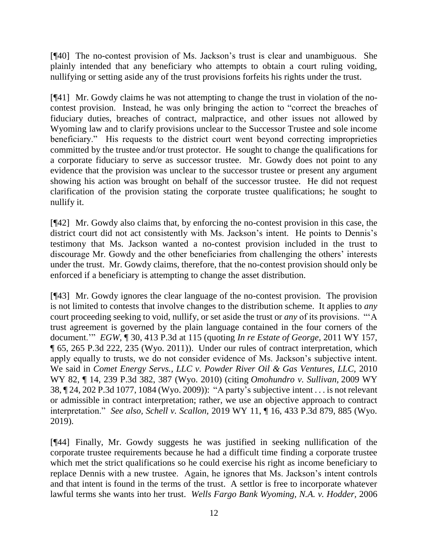[¶40] The no-contest provision of Ms. Jackson's trust is clear and unambiguous. She plainly intended that any beneficiary who attempts to obtain a court ruling voiding, nullifying or setting aside any of the trust provisions forfeits his rights under the trust.

[¶41] Mr. Gowdy claims he was not attempting to change the trust in violation of the nocontest provision. Instead, he was only bringing the action to "correct the breaches of fiduciary duties, breaches of contract, malpractice, and other issues not allowed by Wyoming law and to clarify provisions unclear to the Successor Trustee and sole income beneficiary." His requests to the district court went beyond correcting improprieties committed by the trustee and/or trust protector. He sought to change the qualifications for a corporate fiduciary to serve as successor trustee. Mr. Gowdy does not point to any evidence that the provision was unclear to the successor trustee or present any argument showing his action was brought on behalf of the successor trustee. He did not request clarification of the provision stating the corporate trustee qualifications; he sought to nullify it.

[¶42] Mr. Gowdy also claims that, by enforcing the no-contest provision in this case, the district court did not act consistently with Ms. Jackson's intent. He points to Dennis's testimony that Ms. Jackson wanted a no-contest provision included in the trust to discourage Mr. Gowdy and the other beneficiaries from challenging the others' interests under the trust. Mr. Gowdy claims, therefore, that the no-contest provision should only be enforced if a beneficiary is attempting to change the asset distribution.

[¶43] Mr. Gowdy ignores the clear language of the no-contest provision. The provision is not limited to contests that involve changes to the distribution scheme. It applies to *any* court proceeding seeking to void, nullify, or set aside the trust or *any* of its provisions. "'A trust agreement is governed by the plain language contained in the four corners of the document.'" *EGW*, ¶ 30, 413 P.3d at 115 (quoting *[In re Estate of George](https://1.next.westlaw.com/Link/Document/FullText?findType=Y&serNum=2026520727&pubNum=0004645&originatingDoc=I885b13b0218411e8a5e6889af90df30f&refType=RP&fi=co_pp_sp_4645_235&originationContext=document&transitionType=DocumentItem&contextData=(sc.Search)#co_pp_sp_4645_235)*, 2011 WY 157, [¶ 65, 265 P.3d 222, 235 \(Wyo. 2011\)\)](https://1.next.westlaw.com/Link/Document/FullText?findType=Y&serNum=2026520727&pubNum=0004645&originatingDoc=I885b13b0218411e8a5e6889af90df30f&refType=RP&fi=co_pp_sp_4645_235&originationContext=document&transitionType=DocumentItem&contextData=(sc.Search)#co_pp_sp_4645_235). Under our rules of contract interpretation, which apply equally to trusts, we do not consider evidence of Ms. Jackson's subjective intent. We said in *Comet Energy Servs., LLC v. Powder River Oil & Gas Ventures, LLC,* 2010 WY 82, ¶ 14, 239 P.3d 382, 387 (Wyo. 2010) (citing *[Omohundro v. Sullivan,](https://1.next.westlaw.com/Link/Document/FullText?findType=Y&serNum=2018332700&pubNum=0004645&originatingDoc=Id6df72dd7eb611dfbe8a8e1700ec828b&refType=RP&fi=co_pp_sp_4645_1084&originationContext=document&transitionType=DocumentItem&contextData=(sc.Search)#co_pp_sp_4645_1084)* 2009 WY [38, ¶ 24, 202 P.3d 1077, 1084 \(Wyo. 2009\)\)](https://1.next.westlaw.com/Link/Document/FullText?findType=Y&serNum=2018332700&pubNum=0004645&originatingDoc=Id6df72dd7eb611dfbe8a8e1700ec828b&refType=RP&fi=co_pp_sp_4645_1084&originationContext=document&transitionType=DocumentItem&contextData=(sc.Search)#co_pp_sp_4645_1084): "A party's subjective intent . . . is not relevant or admissible in contract interpretation; rather, we use an objective approach to contract interpretation." *See also, Schell v. Scallon,* 2019 WY 11, ¶ 16, 433 P.3d 879, 885 (Wyo. 2019).

[¶44] Finally, Mr. Gowdy suggests he was justified in seeking nullification of the corporate trustee requirements because he had a difficult time finding a corporate trustee which met the strict qualifications so he could exercise his right as income beneficiary to replace Dennis with a new trustee. Again, he ignores that Ms. Jackson's intent controls and that intent is found in the terms of the trust. A settlor is free to incorporate whatever lawful terms she wants into her trust. *Wells Fargo Bank Wyoming, N.A. v. Hodder,* 2006